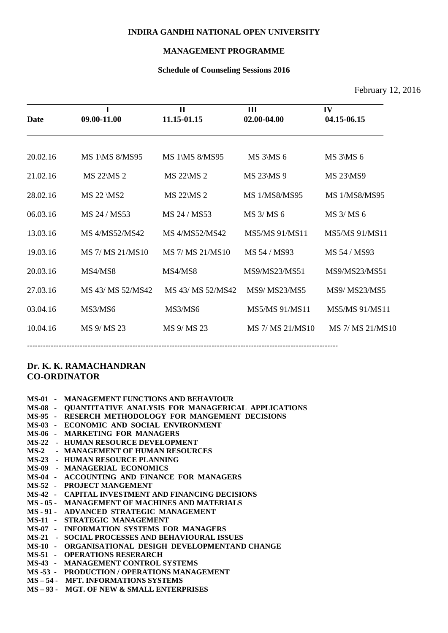#### **INDIRA GANDHI NATIONAL OPEN UNIVERSITY**

#### **MANAGEMENT PROGRAMME**

#### **Schedule of Counseling Sessions 2016**

# February 12, 2016

| Date     | $\mathbf I$<br>09.00-11.00 | $\mathbf{I}$<br>11.15-01.15 | Ш<br>02.00-04.00      | IV<br>04.15-06.15     |
|----------|----------------------------|-----------------------------|-----------------------|-----------------------|
|          |                            |                             |                       |                       |
| 20.02.16 | <b>MS 1\MS 8/MS95</b>      | <b>MS 1\MS 8/MS95</b>       | $MS 3\overline{MS} 6$ | $MS 3\overline{MS} 6$ |
| 21.02.16 | <b>MS 22\MS 2</b>          | <b>MS 22\MS 2</b>           | MS 23\MS 9            | <b>MS 23\MS9</b>      |
| 28.02.16 | <b>MS 22 \MS2</b>          | <b>MS 22\MS 2</b>           | <b>MS 1/MS8/MS95</b>  | <b>MS 1/MS8/MS95</b>  |
| 06.03.16 | MS 24 / MS53               | MS 24 / MS53                | MS 3/ MS 6            | MS 3/ MS 6            |
| 13.03.16 | MS 4/MS52/MS42             | MS 4/MS52/MS42              | MS5/MS 91/MS11        | MS5/MS 91/MS11        |
| 19.03.16 | MS 7/ MS 21/MS10           | MS 7/ MS 21/MS10            | MS 54 / MS93          | MS 54 / MS93          |
| 20.03.16 | MS4/MS8                    | MS4/MS8                     | MS9/MS23/MS51         | MS9/MS23/MS51         |
| 27.03.16 | MS 43/ MS 52/MS42          | MS 43/ MS 52/MS42           | MS9/MS23/MS5          | MS9/ MS23/MS5         |
| 03.04.16 | MS3/MS6                    | MS3/MS6                     | MS5/MS 91/MS11        | MS5/MS 91/MS11        |
| 10.04.16 | MS 9/ MS 23                | MS 9/ MS 23                 | MS 7/ MS 21/MS10      | MS 7/ MS 21/MS10      |
|          |                            |                             |                       |                       |

## **Dr. K. K. RAMACHANDRAN CO-ORDINATOR**

|        | <b>MS-01 - MANAGEMENT FUNCTIONS AND BEHAVIOUR</b>          |
|--------|------------------------------------------------------------|
|        | MS-08 - QUANTITATIVE ANALYSIS FOR MANAGERICAL APPLICATIONS |
|        | MS-95 - RESERCH METHODOLOGY FOR MANGEMENT DECISIONS        |
|        | MS-03 - ECONOMIC AND SOCIAL ENVIRONMENT                    |
|        | MS-06 - MARKETING FOR MANAGERS                             |
|        | MS-22 - HUMAN RESOURCE DEVELOPMENT                         |
| $MS-2$ | - MANAGEMENT OF HUMAN RESOURCES                            |
|        | MS-23 - HUMAN RESOURCE PLANNING                            |
|        | MS-09 - MANAGERIAL ECONOMICS                               |
|        | MS-04 - ACCOUNTING AND FINANCE FOR MANAGERS                |
|        | MS-52 - PROJECT MANGEMENT                                  |
|        | MS-42 - CAPITAL INVESTMENT AND FINANCING DECISIONS         |
|        | MS-05- MANAGEMENT OF MACHINES AND MATERIALS                |
|        | MS-91- ADVANCED STRATEGIC MANAGEMENT                       |
|        | MS-11 - STRATEGIC MANAGEMENT                               |
|        | MS-07 - INFORMATION SYSTEMS FOR MANAGERS                   |
|        | MS-21 - SOCIAL PROCESSES AND BEHAVIOURAL ISSUES            |
|        | MS-10 - ORGANISATIONAL DESIGH DEVELOPMENTAND CHANGE        |
|        | <b>MS-51 - OPERATIONS RESERARCH</b>                        |
|        | MS-43 - MANAGEMENT CONTROL SYSTEMS                         |
|        | MS-53 - PRODUCTION / OPERATIONS MANAGEMENT                 |
|        | MS-54 - MFT. INFORMATIONS SYSTEMS                          |
|        | MS-93 - MGT. OF NEW & SMALL ENTERPRISES                    |
|        |                                                            |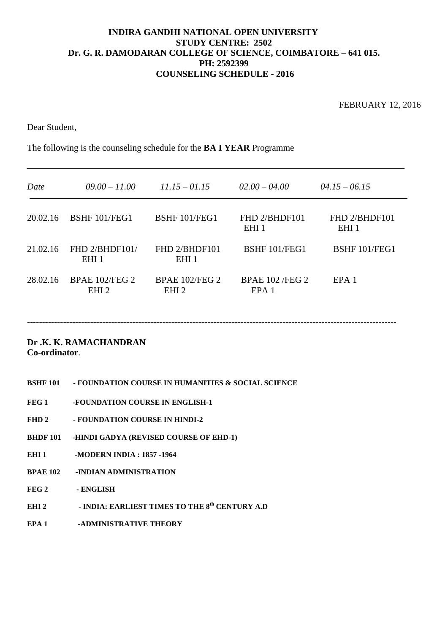FEBRUARY 12, 2016

Dear Student,

The following is the counseling schedule for the **BA I YEAR** Programme

| Date     | $09.00 - 11.00$                           | $11.15 - 01.15$                           | $02.00 - 04.00$                           | $04.15 - 06.15$                   |
|----------|-------------------------------------------|-------------------------------------------|-------------------------------------------|-----------------------------------|
| 20.02.16 | BSHF 101/FEG1                             | BSHF 101/FEG1                             | FHD 2/BHDF101<br>EHI <sub>1</sub>         | FHD 2/BHDF101<br>EHI <sub>1</sub> |
| 21.02.16 | $FHD$ 2/BHDF101/<br>EHI <sub>1</sub>      | FHD 2/BHDF101<br>EHI <sub>1</sub>         | BSHF 101/FEG1                             | BSHF 101/FEG1                     |
| 28.02.16 | <b>BPAE 102/FEG 2</b><br>EHI <sub>2</sub> | <b>BPAE 102/FEG 2</b><br>EHI <sub>2</sub> | <b>BPAE 102/FEG 2</b><br>EPA <sub>1</sub> | EPA <sub>1</sub>                  |

---------------------------------------------------------------------------------------------------------------------------

# **Dr .K. K. RAMACHANDRAN**

**Co-ordinator**.

- **BSHF 101 - FOUNDATION COURSE IN HUMANITIES & SOCIAL SCIENCE**
- FEG 1 -FOUNDATION COURSE IN ENGLISH-1
- **FHD 2 - FOUNDATION COURSE IN HINDI-2**
- **BHDF 101 -HINDI GADYA (REVISED COURSE OF EHD-1)**
- **EHI 1 -MODERN INDIA : 1857 -1964**
- **BPAE 102 -INDIAN ADMINISTRATION**
- **FEG 2 - ENGLISH**
- **EHI 2 - INDIA: EARLIEST TIMES TO THE 8th CENTURY A.D**
- **EPA 1 -ADMINISTRATIVE THEORY**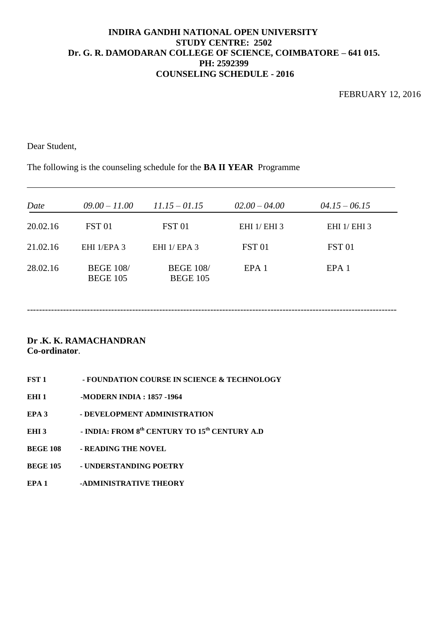Dear Student,

## The following is the counseling schedule for the **BA II YEAR** Programme

| Date     | $09.00 - 11.00$                     | $11.15 - 01.15$                     | $02.00 - 04.00$  | $04.15 - 06.15$  |  |
|----------|-------------------------------------|-------------------------------------|------------------|------------------|--|
| 20.02.16 | FST <sub>01</sub>                   | <b>FST 01</b>                       | EHI 1/ EHI 3     | EHI 1/ EHI 3     |  |
| 21.02.16 | EHI 1/EPA 3                         | EHI $1/$ EPA 3                      | <b>FST 01</b>    | <b>FST 01</b>    |  |
| 28.02.16 | <b>BEGE 108/</b><br><b>BEGE 105</b> | <b>BEGE 108/</b><br><b>BEGE 105</b> | EPA <sub>1</sub> | EPA <sub>1</sub> |  |

---------------------------------------------------------------------------------------------------------------------------

- **FST 1 - FOUNDATION COURSE IN SCIENCE & TECHNOLOGY**
- **EHI 1** -MODERN INDIA : 1857 -1964
- **EPA 3 - DEVELOPMENT ADMINISTRATION**
- **EHI 3 - INDIA: FROM 8th CENTURY TO 15th CENTURY A.D**
- **BEGE 108 - READING THE NOVEL**
- **BEGE 105 - UNDERSTANDING POETRY**
- **EPA 1 -ADMINISTRATIVE THEORY**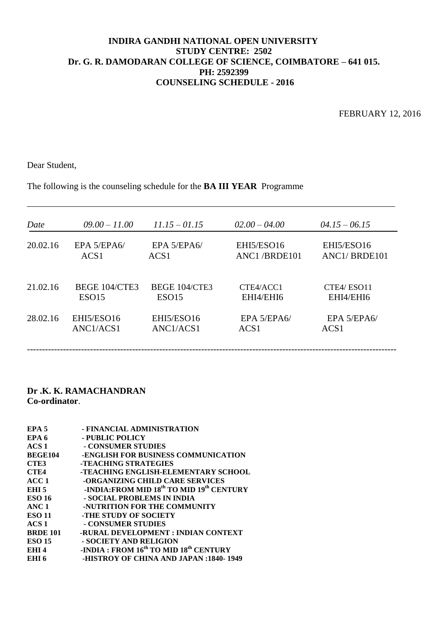FEBRUARY 12, 2016

Dear Student,

The following is the counseling schedule for the **BA III YEAR** Programme

| Date     | $09.00 - 11.00$   | $11.15 - 01.15$   | $02.00 - 04.00$  | $04.15 - 06.15$                       |
|----------|-------------------|-------------------|------------------|---------------------------------------|
| 20.02.16 | EPA $5/EPA6/$     | EPA $5/EPA6/$     | EHI5/ESO16       | EHI5/ESO16                            |
|          | ACS <sub>1</sub>  | ACS <sub>1</sub>  | ANC1/BRDE101     | ANC <sub>1</sub> /BRDE <sub>101</sub> |
| 21.02.16 | BEGE 104/CTE3     | BEGE 104/CTE3     | CTE4/ACC1        | CTE4/ESO11                            |
|          | ESO <sub>15</sub> | ESO <sub>15</sub> | EHI4/EHI6        | EHI4/EHI6                             |
| 28.02.16 | EHI5/ESO16        | EHI5/ESO16        | EPA 5/EPA6/      | EPA 5/EPA6/                           |
|          | ANC1/ACS1         | ANC1/ACS1         | ACS <sub>1</sub> | ACS <sub>1</sub>                      |
|          |                   |                   |                  |                                       |

| EPA <sub>5</sub> | - FINANCIAL ADMINISTRATION                                        |
|------------------|-------------------------------------------------------------------|
| EPA 6            | - PUBLIC POLICY                                                   |
| ACS <sub>1</sub> | - CONSUMER STUDIES                                                |
| <b>BEGE104</b>   | -ENGLISH FOR BUSINESS COMMUNICATION                               |
| CTE3             | -TEACHING STRATEGIES                                              |
| CTE4             | -TEACHING ENGLISH-ELEMENTARY SCHOOL                               |
| ACC1             | -ORGANIZING CHILD CARE SERVICES                                   |
| EHI 5            | -INDIA: FROM MID 18 <sup>th</sup> TO MID 19 <sup>th</sup> CENTURY |
| <b>ESO 16</b>    | - SOCIAL PROBLEMS IN INDIA                                        |
| ANC 1            | -NUTRITION FOR THE COMMUNITY                                      |
| <b>ESO 11</b>    | -THE STUDY OF SOCIETY                                             |
| ACS <sub>1</sub> | - CONSUMER STUDIES                                                |
| <b>BRDE 101</b>  | -RURAL DEVELOPMENT : INDIAN CONTEXT                               |
| <b>ESO 15</b>    | - SOCIETY AND RELIGION                                            |
| EHI <sub>4</sub> | -INDIA : FROM 16 <sup>th</sup> TO MID 18 <sup>th</sup> CENTURY    |
| EHI <sub>6</sub> | -HISTROY OF CHINA AND JAPAN : 1840-1949                           |
|                  |                                                                   |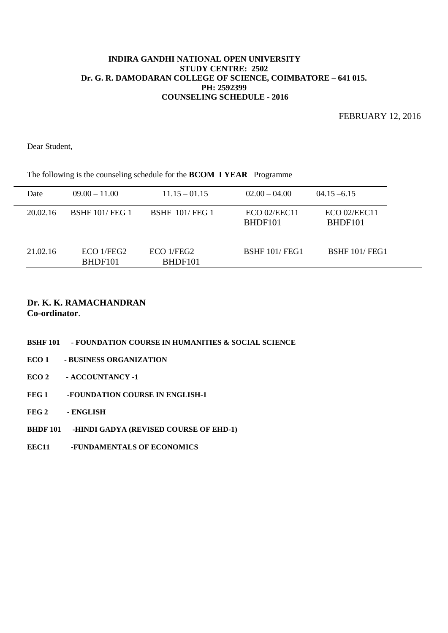FEBRUARY 12, 2016

Dear Student,

|  |  | The following is the counseling schedule for the <b>BCOM I YEAR</b> Programme |
|--|--|-------------------------------------------------------------------------------|
|  |  |                                                                               |

| Date     | $09.00 - 11.00$       | $11.15 - 01.15$       | $02.00 - 04.00$         | $04.15 - 6.15$          |
|----------|-----------------------|-----------------------|-------------------------|-------------------------|
| 20.02.16 | <b>BSHF 101/FEG 1</b> | <b>BSHF 101/FEG 1</b> | ECO 02/EEC11<br>BHDF101 | ECO 02/EEC11<br>BHDF101 |
| 21.02.16 | ECO 1/FEG2<br>BHDF101 | ECO 1/FEG2<br>BHDF101 | <b>BSHF 101/FEG1</b>    | <b>BSHF 101/FEG1</b>    |

- **BSHF 101 - FOUNDATION COURSE IN HUMANITIES & SOCIAL SCIENCE**
- **ECO 1 - BUSINESS ORGANIZATION**
- **ECO 2 - ACCOUNTANCY -1**
- FEG 1 -FOUNDATION COURSE IN ENGLISH-1
- **FEG 2 - ENGLISH**
- **BHDF 101 -HINDI GADYA (REVISED COURSE OF EHD-1)**
- **EEC11 -FUNDAMENTALS OF ECONOMICS**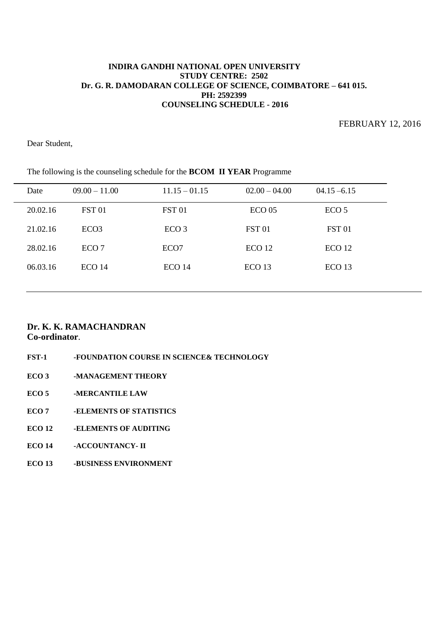FEBRUARY 12, 2016

Dear Student,

| Date     | $09.00 - 11.00$   | $11.15 - 01.15$   | $02.00 - 04.00$   | $04.15 - 6.15$    |
|----------|-------------------|-------------------|-------------------|-------------------|
| 20.02.16 | <b>FST 01</b>     | FST <sub>01</sub> | ECO <sub>05</sub> | ECO <sub>5</sub>  |
| 21.02.16 | ECO <sub>3</sub>  | ECO <sub>3</sub>  | <b>FST 01</b>     | <b>FST 01</b>     |
| 28.02.16 | ECO <sub>7</sub>  | ECO <sub>7</sub>  | ECO 12            | ECO <sub>12</sub> |
| 06.03.16 | ECO <sub>14</sub> | ECO <sub>14</sub> | ECO <sub>13</sub> | ECO <sub>13</sub> |
|          |                   |                   |                   |                   |

The following is the counseling schedule for the **BCOM II YEAR** Programme

# **Dr. K. K. RAMACHANDRAN**

**Co-ordinator**.

- **FST-1 -FOUNDATION COURSE IN SCIENCE& TECHNOLOGY ECO 3 -MANAGEMENT THEORY**
- **ECO 5 -MERCANTILE LAW**
- **ECO 7 -ELEMENTS OF STATISTICS**
- **ECO 12 -ELEMENTS OF AUDITING**
- **ECO 14 -ACCOUNTANCY- II**
- **ECO 13 -BUSINESS ENVIRONMENT**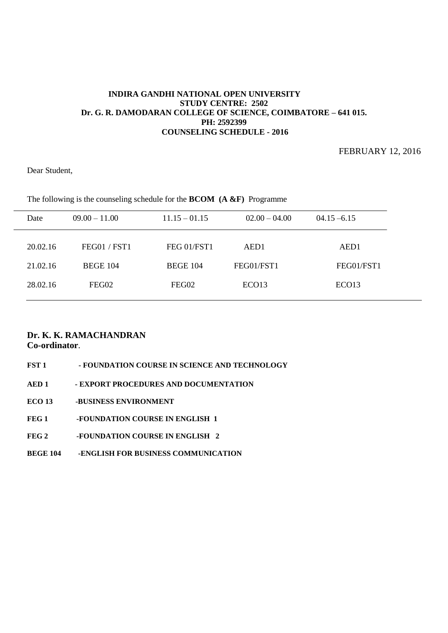FEBRUARY 12, 2016

Dear Student,

| Date     | $09.00 - 11.00$ | $11.15 - 01.15$ | $02.00 - 04.00$   | $04.15 - 6.15$    |
|----------|-----------------|-----------------|-------------------|-------------------|
| 20.02.16 | FEG01 / FST1    | FEG 01/FST1     | AED1              | AED1              |
| 21.02.16 | <b>BEGE 104</b> | <b>BEGE 104</b> | FEG01/FST1        | FEG01/FST1        |
| 28.02.16 | FEG02           | FEG02           | ECO <sub>13</sub> | ECO <sub>13</sub> |

The following is the counseling schedule for the **BCOM (A &F)** Programme

| FST 1            | - FOUNDATION COURSE IN SCIENCE AND TECHNOLOGY |
|------------------|-----------------------------------------------|
| AED 1            | - EXPORT PROCEDURES AND DOCUMENTATION         |
| ECO 13           | -BUSINESS ENVIRONMENT                         |
| FEG <sub>1</sub> | -FOUNDATION COURSE IN ENGLISH 1               |
| FEG 2            | -FOUNDATION COURSE IN ENGLISH 2               |
| <b>BEGE 104</b>  | -ENGLISH FOR BUSINESS COMMUNICATION           |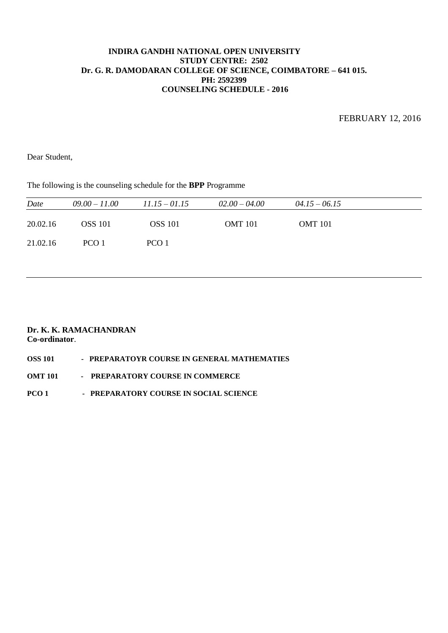FEBRUARY 12, 2016

Dear Student,

| Date     | $09.00 - 11.00$ | $11.15 - 01.15$ | $02.00 - 04.00$ | $04.15 - 06.15$ |  |
|----------|-----------------|-----------------|-----------------|-----------------|--|
| 20.02.16 | <b>OSS</b> 101  | <b>OSS</b> 101  | <b>OMT</b> 101  | <b>OMT</b> 101  |  |
| 21.02.16 | PCO 1           | PCO 1           |                 |                 |  |

The following is the counseling schedule for the **BPP** Programme

#### **Dr. K. K. RAMACHANDRAN Co-ordinator**.

#### **OSS 101 - PREPARATOYR COURSE IN GENERAL MATHEMATIES**

#### **OMT 101 - PREPARATORY COURSE IN COMMERCE**

**PCO 1 - PREPARATORY COURSE IN SOCIAL SCIENCE**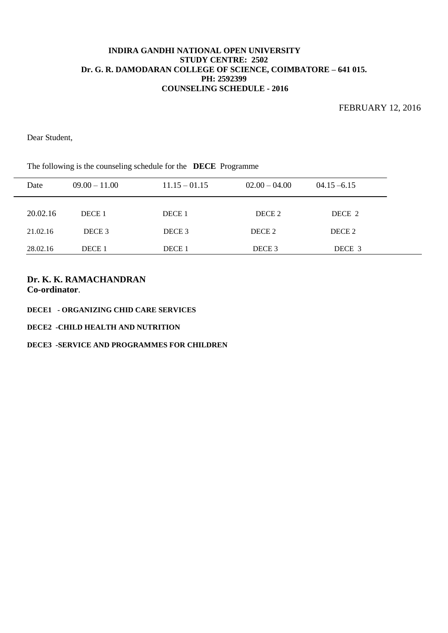FEBRUARY 12, 2016

Dear Student,

| Date     | $09.00 - 11.00$   | $11.15 - 01.15$ | $02.00 - 04.00$   | $04.15 - 6.15$ |
|----------|-------------------|-----------------|-------------------|----------------|
| 20.02.16 | DECE <sub>1</sub> | DECE 1          | DECE 2            | DECE 2         |
| 21.02.16 | DECE <sub>3</sub> | DECE 3          | DECE 2            | DECE 2         |
| 28.02.16 | DECE <sub>1</sub> | DECE 1          | DECE <sub>3</sub> | DECE 3         |

The following is the counseling schedule for the **DECE** Programme

- **DECE1 - ORGANIZING CHID CARE SERVICES**
- **DECE2 -CHILD HEALTH AND NUTRITION**
- **DECE3 -SERVICE AND PROGRAMMES FOR CHILDREN**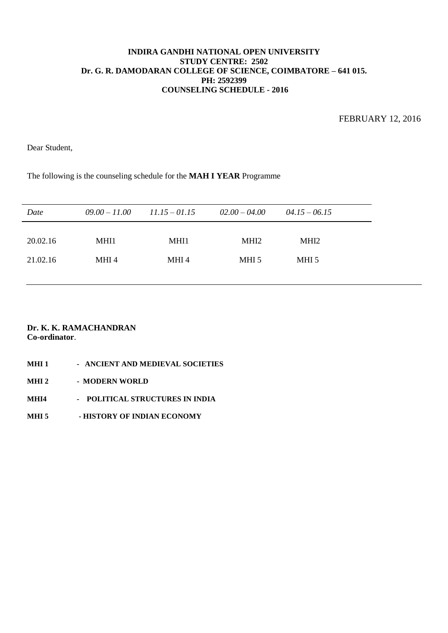FEBRUARY 12, 2016

Dear Student,

The following is the counseling schedule for the **MAH I YEAR** Programme

| Date     | $09.00 - 11.00$ | $11.15 - 01.15$ | $02.00 - 04.00$  | $04.15 - 06.15$  |  |
|----------|-----------------|-----------------|------------------|------------------|--|
| 20.02.16 | MHI1            | MHI1            | MHI <sub>2</sub> | MHI <sub>2</sub> |  |
| 21.02.16 | MHI 4           | MHI 4           | MHI 5            | MHI 5            |  |

- **MHI 1 ANCIENT AND MEDIEVAL SOCIETIES**
- **MHI 2 MODERN WORLD**
- **MHI4 POLITICAL STRUCTURES IN INDIA**
- **MHI 5 - HISTORY OF INDIAN ECONOMY**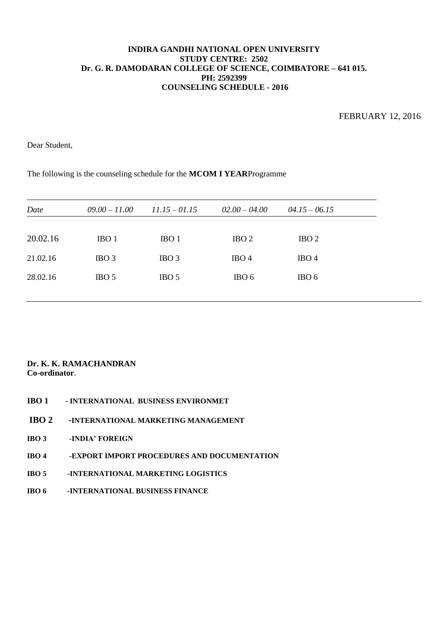FEBRUARY 12, 2016

Dear Student,

The following is the counseling schedule for the **MCOM I YEAR**Programme

| Date     | $09.00 - 11.00$  | $11.15 - 01.15$  | $02.00 - 04.00$  | $04.15 - 06.15$  |  |
|----------|------------------|------------------|------------------|------------------|--|
|          |                  |                  |                  |                  |  |
| 20.02.16 | IBO 1            | IBO <sub>1</sub> | IBO <sub>2</sub> | IBO <sub>2</sub> |  |
| 21.02.16 | IBO <sub>3</sub> | IBO <sub>3</sub> | IBO <sub>4</sub> | IBO <sub>4</sub> |  |
| 28.02.16 | IBO <sub>5</sub> | IBO 5            | IBO 6            | IBO <sub>6</sub> |  |
|          |                  |                  |                  |                  |  |

- **IBO 1 INTERNATIONAL BUSINESS ENVIRONMET**
- **IBO 2 -INTERNATIONAL MARKETING MANAGEMENT**
- **IBO 3 -INDIA' FOREIGN**
- **IBO 4 -EXPORT IMPORT PROCEDURES AND DOCUMENTATION**
- **IBO 5 -INTERNATIONAL MARKETING LOGISTICS**
- **IBO 6 -INTERNATIONAL BUSINESS FINANCE**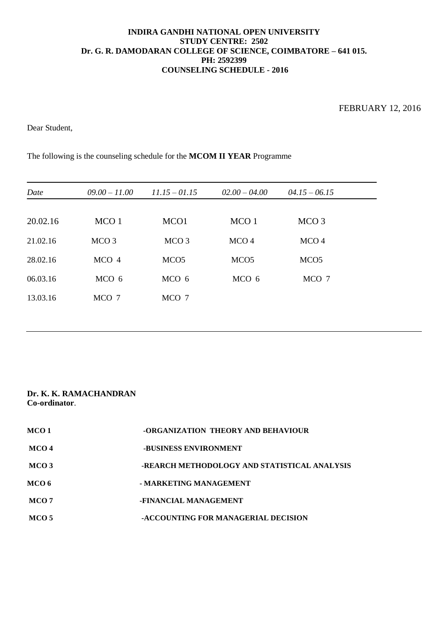## FEBRUARY 12, 2016

Dear Student,

The following is the counseling schedule for the **MCOM II YEAR** Programme

| Date     | $09.00 - 11.00$  | $11.15 - 01.15$  | $02.00 - 04.00$  | $04.15 - 06.15$  |  |
|----------|------------------|------------------|------------------|------------------|--|
|          |                  |                  |                  |                  |  |
| 20.02.16 | MCO <sub>1</sub> | MCO1             | MCO <sub>1</sub> | MCO <sub>3</sub> |  |
| 21.02.16 | MCO <sub>3</sub> | MCO <sub>3</sub> | MCO <sub>4</sub> | MCO <sub>4</sub> |  |
| 28.02.16 | MCO 4            | MCO <sub>5</sub> | MCO <sub>5</sub> | MCO <sub>5</sub> |  |
| 06.03.16 | MCO 6            | MCO 6            | MCO 6            | MCO 7            |  |
| 13.03.16 | MCO 7            | MCO 7            |                  |                  |  |
|          |                  |                  |                  |                  |  |

| MCO 1            | -ORGANIZATION THEORY AND BEHAVIOUR           |
|------------------|----------------------------------------------|
| MCO 4            | -BUSINESS ENVIRONMENT                        |
| MCO <sub>3</sub> | -REARCH METHODOLOGY AND STATISTICAL ANALYSIS |
| MCO 6            | - MARKETING MANAGEMENT                       |
| MCO 7            | -FINANCIAL MANAGEMENT                        |
| MCO 5            | -ACCOUNTING FOR MANAGERIAL DECISION          |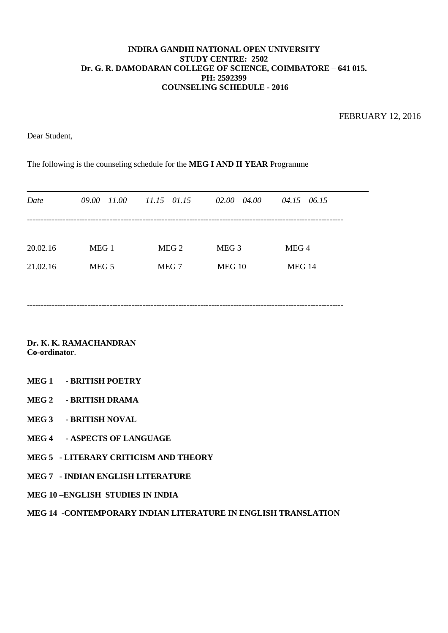FEBRUARY 12, 2016

Dear Student,

The following is the counseling schedule for the **MEG I AND II YEAR** Programme

| Date     | $09.00 - 11.00$  | $11.15 - 01.15$  | $02.00 - 04.00$  | $04.15 - 06.15$  |
|----------|------------------|------------------|------------------|------------------|
|          |                  |                  |                  |                  |
| 20.02.16 | MEG 1            | MEG <sub>2</sub> | MEG <sub>3</sub> | MEG <sub>4</sub> |
| 21.02.16 | MEG <sub>5</sub> | MEG <sub>7</sub> | <b>MEG 10</b>    | MEG 14           |
|          |                  |                  |                  |                  |
|          |                  |                  |                  |                  |

**Dr. K. K. RAMACHANDRAN Co-ordinator**.

#### **MEG 1 - BRITISH POETRY**

- **MEG 2 - BRITISH DRAMA**
- **MEG 3 - BRITISH NOVAL**
- **MEG 4 - ASPECTS OF LANGUAGE**
- **MEG 5 - LITERARY CRITICISM AND THEORY**
- **MEG 7 - INDIAN ENGLISH LITERATURE**
- **MEG 10 –ENGLISH STUDIES IN INDIA**
- **MEG 14 -CONTEMPORARY INDIAN LITERATURE IN ENGLISH TRANSLATION**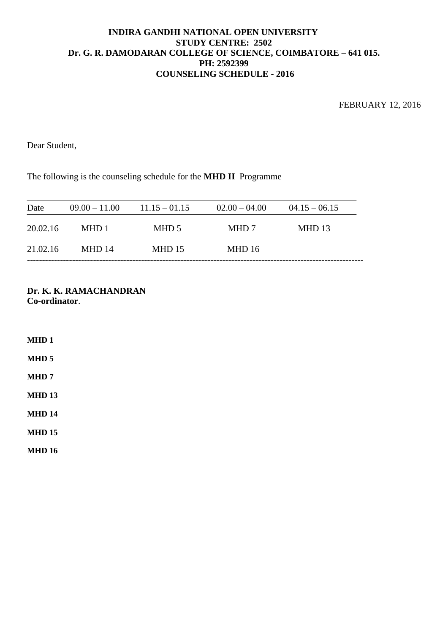FEBRUARY 12, 2016

Dear Student,

The following is the counseling schedule for the **MHD II** Programme

| Date     | $09.00 - 11.00$ | $11.15 - 01.15$ | $02.00 - 04.00$ | $04.15 - 06.15$ |
|----------|-----------------|-----------------|-----------------|-----------------|
| 20.02.16 | MHD 1           | MHD 5           | MHD 7           | $MHD$ 13        |
| 21.02.16 | <b>MHD</b> 14   | $MHD$ 15        | MHD16           |                 |

**Dr. K. K. RAMACHANDRAN Co-ordinator**.

**MHD 1 MHD 5 MHD 7 MHD 13 MHD 14 MHD 15 MHD 16**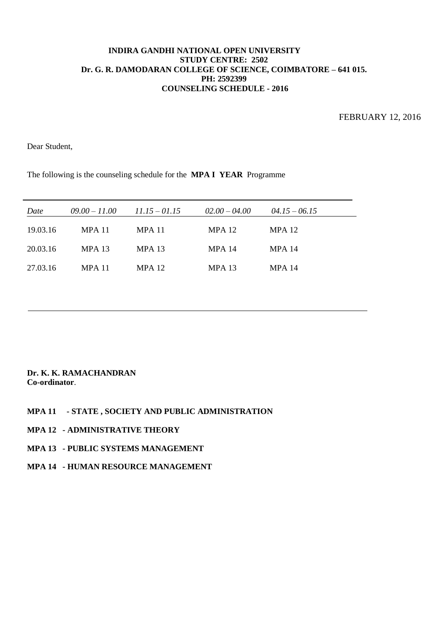FEBRUARY 12, 2016

Dear Student,

The following is the counseling schedule for the **MPA I YEAR** Programme

| Date     | $09.00 - 11.00$ | $11.15 - 01.15$ | $02.00 - 04.00$ | $04.15 - 06.15$ |
|----------|-----------------|-----------------|-----------------|-----------------|
| 19.03.16 | <b>MPA 11</b>   | <b>MPA 11</b>   | $MPA$ 12        | $MPA$ 12        |
| 20.03.16 | <b>MPA 13</b>   | <b>MPA 13</b>   | <b>MPA 14</b>   | <b>MPA 14</b>   |
| 27.03.16 | <b>MPA 11</b>   | <b>MPA 12</b>   | $MPA$ 13        | <b>MPA 14</b>   |

#### **Dr. K. K. RAMACHANDRAN Co-ordinator**.

#### **MPA 11 - STATE , SOCIETY AND PUBLIC ADMINISTRATION**

- **MPA 12 - ADMINISTRATIVE THEORY**
- **MPA 13 - PUBLIC SYSTEMS MANAGEMENT**
- **MPA 14 - HUMAN RESOURCE MANAGEMENT**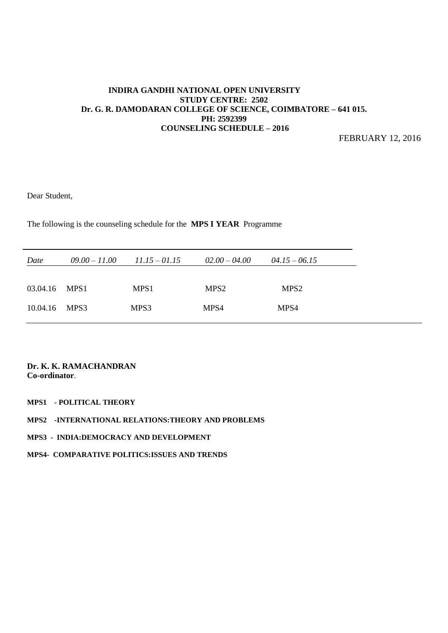FEBRUARY 12, 2016

Dear Student,

The following is the counseling schedule for the **MPS I YEAR** Programme

| Date          | $09.00 - 11.00$ | $11.15 - 01.15$  | $02.00 - 04.00$  | $04.15 - 06.15$  |
|---------------|-----------------|------------------|------------------|------------------|
|               |                 |                  |                  |                  |
| 03.04.16 MPS1 |                 | MPS <sub>1</sub> | MPS <sub>2</sub> | MPS <sub>2</sub> |
| 10.04.16 MPS3 |                 | MPS3             | MPS4             | MPS4             |

- **MPS1 - POLITICAL THEORY**
- **MPS2 -INTERNATIONAL RELATIONS:THEORY AND PROBLEMS**
- **MPS3 INDIA:DEMOCRACY AND DEVELOPMENT**
- **MPS4- COMPARATIVE POLITICS:ISSUES AND TRENDS**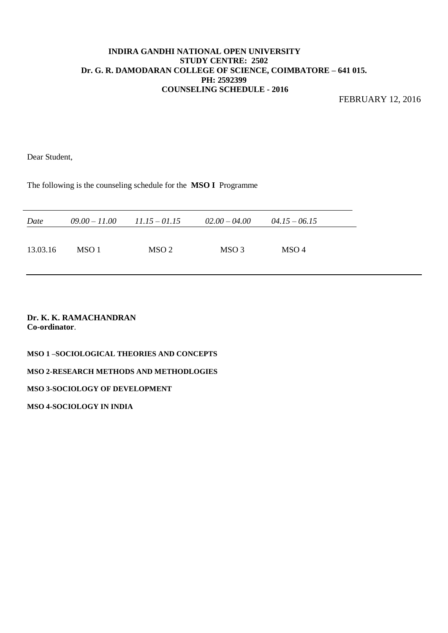FEBRUARY 12, 2016

Dear Student,

The following is the counseling schedule for the **MSO I** Programme

| Date     | $09.00 - 11.00$ | $11.15 - 01.15$ | $02.00 - 04.00$ | $04.15 - 06.15$ |  |
|----------|-----------------|-----------------|-----------------|-----------------|--|
| 13.03.16 | MSO 1           | MSO 2           | MSO 3           | MSO 4           |  |

#### **Dr. K. K. RAMACHANDRAN Co-ordinator**.

**MSO 1 –SOCIOLOGICAL THEORIES AND CONCEPTS**

**MSO 2-RESEARCH METHODS AND METHODLOGIES**

**MSO 3-SOCIOLOGY OF DEVELOPMENT**

**MSO 4-SOCIOLOGY IN INDIA**